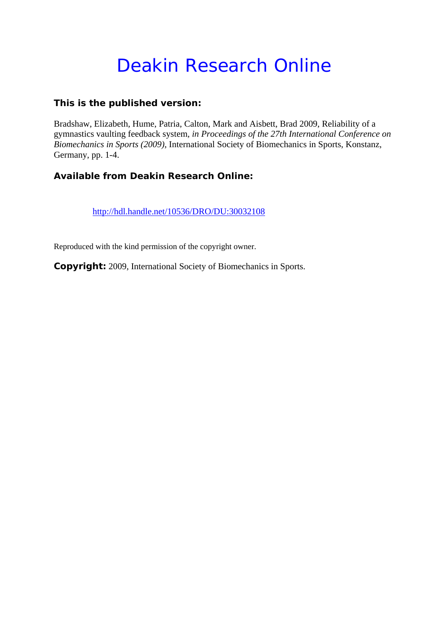# Deakin Research Online

## **This is the published version:**

Bradshaw, Elizabeth, Hume, Patria, Calton, Mark and Aisbett, Brad 2009, Reliability of a gymnastics vaulting feedback system*, in Proceedings of the 27th International Conference on Biomechanics in Sports (2009)*, International Society of Biomechanics in Sports, Konstanz, Germany, pp. 1-4.

# **Available from Deakin Research Online:**

http://hdl.handle.net/10536/DRO/DU:30032108

Reproduced with the kind permission of the copyright owner.

**Copyright:** 2009, International Society of Biomechanics in Sports.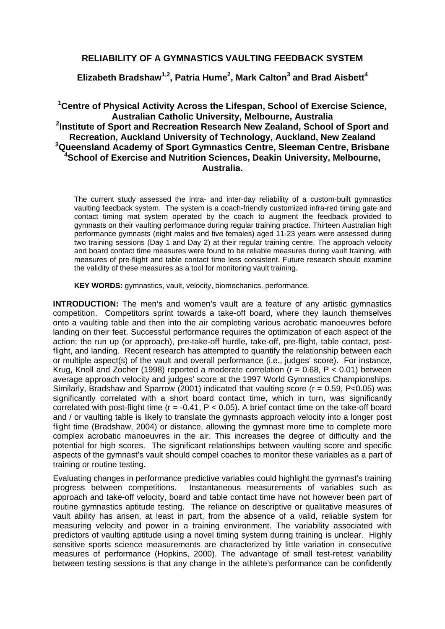## **RELIABILITY OF A GYMNASTICS VAULTING FEEDBACK SYSTEM**

**Elizabeth Bradshaw1,2, Patria Hume2 , Mark Calton3 and Brad Aisbett<sup>4</sup>**

### **1 Centre of Physical Activity Across the Lifespan, School of Exercise Science, Australian Catholic University, Melbourne, Australia 2 Institute of Sport and Recreation Research New Zealand, School of Sport and Recreation, Auckland University of Technology, Auckland, New Zealand 3 Queensland Academy of Sport Gymnastics Centre, Sleeman Centre, Brisbane 4 School of Exercise and Nutrition Sciences, Deakin University, Melbourne, Australia.**

The current study assessed the intra- and inter-day reliability of a custom-built gymnastics vaulting feedback system. The system is a coach-friendly customized infra-red timing gate and contact timing mat system operated by the coach to augment the feedback provided to gymnasts on their vaulting performance during regular training practice. Thirteen Australian high performance gymnasts (eight males and five females) aged 11-23 years were assessed during two training sessions (Day 1 and Day 2) at their regular training centre. The approach velocity and board contact time measures were found to be reliable measures during vault training, with measures of pre-flight and table contact time less consistent. Future research should examine the validity of these measures as a tool for monitoring vault training.

**KEY WORDS:** gymnastics, vault, velocity, biomechanics, performance.

**INTRODUCTION:** The men's and women's vault are a feature of any artistic gymnastics competition. Competitors sprint towards a take-off board, where they launch themselves onto a vaulting table and then into the air completing various acrobatic manoeuvres before landing on their feet. Successful performance requires the optimization of each aspect of the action; the run up (or approach), pre-take-off hurdle, take-off, pre-flight, table contact, postflight, and landing. Recent research has attempted to quantify the relationship between each or multiple aspect(s) of the vault and overall performance (i.e., judges' score). For instance, Krug, Knoll and Zocher (1998) reported a moderate correlation ( $r = 0.68$ ,  $P < 0.01$ ) between average approach velocity and judges' score at the 1997 World Gymnastics Championships. Similarly, Bradshaw and Sparrow (2001) indicated that vaulting score ( $r = 0.59$ , P<0.05) was significantly correlated with a short board contact time, which in turn, was significantly correlated with post-flight time ( $r = -0.41$ ,  $P < 0.05$ ). A brief contact time on the take-off board and / or vaulting table is likely to translate the gymnasts approach velocity into a longer post flight time (Bradshaw, 2004) or distance, allowing the gymnast more time to complete more complex acrobatic manoeuvres in the air. This increases the degree of difficulty and the potential for high scores. The significant relationships between vaulting score and specific aspects of the gymnast's vault should compel coaches to monitor these variables as a part of training or routine testing.

Evaluating changes in performance predictive variables could highlight the gymnast's training progress between competitions. Instantaneous measurements of variables such as approach and take-off velocity, board and table contact time have not however been part of routine gymnastics aptitude testing. The reliance on descriptive or qualitative measures of vault ability has arisen, at least in part, from the absence of a valid, reliable system for measuring velocity and power in a training environment. The variability associated with predictors of vaulting aptitude using a novel timing system during training is unclear. Highly sensitive sports science measurements are characterized by little variation in consecutive measures of performance (Hopkins, 2000). The advantage of small test-retest variability between testing sessions is that any change in the athlete's performance can be confidently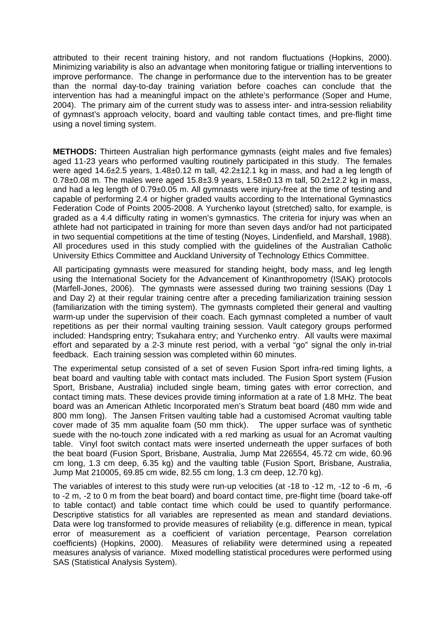attributed to their recent training history, and not random fluctuations (Hopkins, 2000). Minimizing variability is also an advantage when monitoring fatigue or trialling interventions to improve performance. The change in performance due to the intervention has to be greater than the normal day-to-day training variation before coaches can conclude that the intervention has had a meaningful impact on the athlete's performance (Soper and Hume, 2004). The primary aim of the current study was to assess inter- and intra-session reliability of gymnast's approach velocity, board and vaulting table contact times, and pre-flight time using a novel timing system.

**METHODS:** Thirteen Australian high performance gymnasts (eight males and five females) aged 11-23 years who performed vaulting routinely participated in this study. The females were aged 14.6±2.5 years, 1.48±0.12 m tall, 42.2±12.1 kg in mass, and had a leg length of 0.78 $\pm$ 0.08 m. The males were aged 15.8 $\pm$ 3.9 years, 1.58 $\pm$ 0.13 m tall, 50.2 $\pm$ 12.2 kg in mass, and had a leg length of 0.79±0.05 m. All gymnasts were injury-free at the time of testing and capable of performing 2.4 or higher graded vaults according to the International Gymnastics Federation Code of Points 2005-2008. A Yurchenko layout (stretched) salto, for example, is graded as a 4.4 difficulty rating in women's gymnastics. The criteria for injury was when an athlete had not participated in training for more than seven days and/or had not participated in two sequential competitions at the time of testing (Noyes, Lindenfield, and Marshall, 1988). All procedures used in this study complied with the guidelines of the Australian Catholic University Ethics Committee and Auckland University of Technology Ethics Committee.

All participating gymnasts were measured for standing height, body mass, and leg length using the International Society for the Advancement of Kinanthropometry (ISAK) protocols (Marfell-Jones, 2006). The gymnasts were assessed during two training sessions (Day 1 and Day 2) at their regular training centre after a preceding familiarization training session (familiarization with the timing system). The gymnasts completed their general and vaulting warm-up under the supervision of their coach. Each gymnast completed a number of vault repetitions as per their normal vaulting training session. Vault category groups performed included: Handspring entry; Tsukahara entry; and Yurchenko entry. All vaults were maximal effort and separated by a 2-3 minute rest period, with a verbal "go" signal the only in-trial feedback. Each training session was completed within 60 minutes.

The experimental setup consisted of a set of seven Fusion Sport infra-red timing lights, a beat board and vaulting table with contact mats included. The Fusion Sport system (Fusion Sport, Brisbane, Australia) included single beam, timing gates with error correction, and contact timing mats. These devices provide timing information at a rate of 1.8 MHz. The beat board was an American Athletic Incorporated men's Stratum beat board (480 mm wide and 800 mm long). The Jansen Fritsen vaulting table had a customised Acromat vaulting table cover made of 35 mm aqualite foam (50 mm thick). The upper surface was of synthetic suede with the no-touch zone indicated with a red marking as usual for an Acromat vaulting table. Vinyl foot switch contact mats were inserted underneath the upper surfaces of both the beat board (Fusion Sport, Brisbane, Australia, Jump Mat 226554, 45.72 cm wide, 60.96 cm long, 1.3 cm deep, 6.35 kg) and the vaulting table (Fusion Sport, Brisbane, Australia, Jump Mat 210005, 69.85 cm wide, 82.55 cm long, 1.3 cm deep, 12.70 kg).

The variables of interest to this study were run-up velocities (at -18 to -12 m, -12 to -6 m, -6 to -2 m, -2 to 0 m from the beat board) and board contact time, pre-flight time (board take-off to table contact) and table contact time which could be used to quantify performance. Descriptive statistics for all variables are represented as mean and standard deviations. Data were log transformed to provide measures of reliability (e.g. difference in mean, typical error of measurement as a coefficient of variation percentage, Pearson correlation coefficients) (Hopkins, 2000). Measures of reliability were determined using a repeated measures analysis of variance. Mixed modelling statistical procedures were performed using SAS (Statistical Analysis System).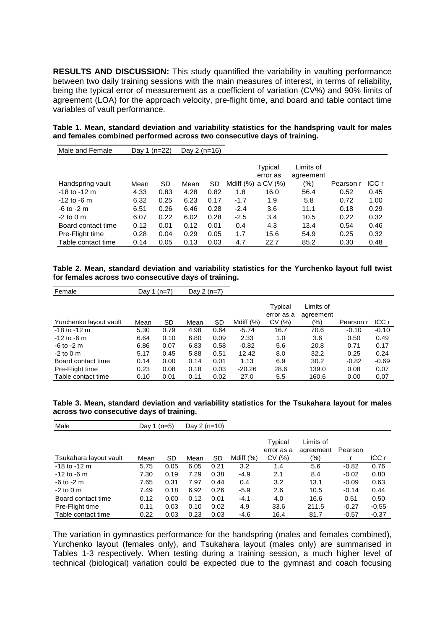**RESULTS AND DISCUSSION:** This study quantified the variability in vaulting performance between two daily training sessions with the main measures of interest, in terms of reliability, being the typical error of measurement as a coefficient of variation (CV%) and 90% limits of agreement (LOA) for the approach velocity, pre-flight time, and board and table contact time variables of vault performance.

**Table 1. Mean, standard deviation and variability statistics for the handspring vault for males and females combined performed across two consecutive days of training.** 

| Male and Female    | Day 1 (n=22) |      | Day $2(n=16)$ |      |           |                                 |                               |           |       |
|--------------------|--------------|------|---------------|------|-----------|---------------------------------|-------------------------------|-----------|-------|
| Handspring vault   | Mean         | SD   | Mean          | SD   | Mdiff (%) | Typical<br>error as<br>a CV (%) | Limits of<br>agreement<br>(%) | Pearson r | ICC r |
| $-18$ to $-12$ m   | 4.33         | 0.83 | 4.28          | 0.82 | 1.8       | 16.0                            | 56.4                          | 0.52      | 0.45  |
| $-12$ to $-6$ m    | 6.32         | 0.25 | 6.23          | 0.17 | $-1.7$    | 1.9                             | 5.8                           | 0.72      | 1.00  |
| $-6$ to $-2$ m     | 6.51         | 0.26 | 6.46          | 0.28 | $-2.4$    | 3.6                             | 11.1                          | 0.18      | 0.29  |
| $-2$ to 0 m        | 6.07         | 0.22 | 6.02          | 0.28 | $-2.5$    | 3.4                             | 10.5                          | 0.22      | 0.32  |
| Board contact time | 0.12         | 0.01 | 0.12          | 0.01 | 0.4       | 4.3                             | 13.4                          | 0.54      | 0.46  |
| Pre-Flight time    | 0.28         | 0.04 | 0.29          | 0.05 | 1.7       | 15.6                            | 54.9                          | 0.25      | 0.32  |
| Table contact time | 0.14         | 0.05 | 0.13          | 0.03 | 4.7       | 22.7                            | 85.2                          | 0.30      | 0.48  |

|  |  |                                                      |  | Table 2. Mean, standard deviation and variability statistics for the Yurchenko layout full twist |  |  |
|--|--|------------------------------------------------------|--|--------------------------------------------------------------------------------------------------|--|--|
|  |  | for females across two consecutive days of training. |  |                                                                                                  |  |  |

| Female                 | Day 1 $(n=7)$ |           | Day $2(n=7)$ |      |             |                                |                        |           |         |
|------------------------|---------------|-----------|--------------|------|-------------|--------------------------------|------------------------|-----------|---------|
| Yurchenko layout vault | Mean          | <b>SD</b> | Mean         | SD   | Mdiff $(%)$ | Typical<br>error as a<br>CV(%) | Limits of<br>agreement | Pearson r | ICC r   |
| $-18$ to $-12$ m       | 5.30          | 0.79      | 4.98         | 0.64 | $-5.74$     | 16.7                           | (%)<br>70.6            | $-0.10$   | $-0.10$ |
|                        | 6.64          | 0.10      |              | 0.09 | 2.33        |                                |                        | 0.50      | 0.49    |
| $-12$ to $-6$ m        |               |           | 6.80         |      |             | 1.0                            | 3.6                    |           |         |
| $-6$ to $-2$ m         | 6.86          | 0.07      | 6.83         | 0.58 | $-0.82$     | 5.6                            | 20.8                   | 0.71      | 0.17    |
| $-2$ to 0 m            | 5.17          | 0.45      | 5.88         | 0.51 | 12.42       | 8.0                            | 32.2                   | 0.25      | 0.24    |
| Board contact time     | 0.14          | 0.00      | 0.14         | 0.01 | 1.13        | 6.9                            | 30.2                   | $-0.82$   | $-0.69$ |
| Pre-Flight time        | 0.23          | 0.08      | 0.18         | 0.03 | $-20.26$    | 28.6                           | 139.0                  | 0.08      | 0.07    |
| Table contact time     | 0.10          | 0.01      | 0.11         | 0.02 | 27.0        | 5.5                            | 160.6                  | 0.00      | 0.07    |

|  |                                          |  |  | Table 3. Mean, standard deviation and variability statistics for the Tsukahara layout for males |  |  |
|--|------------------------------------------|--|--|-------------------------------------------------------------------------------------------------|--|--|
|  | across two consecutive days of training. |  |  |                                                                                                 |  |  |

| Male                   | Day 1 (n=5) |      | Day $2(n=10)$ |      |             |                                |                                   |         |         |
|------------------------|-------------|------|---------------|------|-------------|--------------------------------|-----------------------------------|---------|---------|
| Tsukahara layout vault | Mean        | SD   | Mean          | SD   | Mdiff $(%)$ | Typical<br>error as a<br>CV(%) | Limits of<br>agreement<br>$(\% )$ | Pearson | ICC r   |
| $-18$ to $-12$ m       | 5.75        | 0.05 | 6.05          | 0.21 | 3.2         | 1.4                            | 5.6                               | $-0.82$ | 0.76    |
| $-12$ to $-6$ m        | 7.30        | 0.19 | 7.29          | 0.38 | $-4.9$      | 2.1                            | 8.4                               | $-0.02$ | 0.80    |
| $-6$ to $-2$ m         | 7.65        | 0.31 | 7.97          | 0.44 | 0.4         | 3.2                            | 13.1                              | $-0.09$ | 0.63    |
| $-2$ to 0 m            | 7.49        | 0.18 | 6.92          | 0.26 | $-5.9$      | 2.6                            | 10.5                              | $-0.14$ | 0.44    |
| Board contact time     | 0.12        | 0.00 | 0.12          | 0.01 | $-4.1$      | 4.0                            | 16.6                              | 0.51    | 0.50    |
| Pre-Flight time        | 0.11        | 0.03 | 0.10          | 0.02 | 4.9         | 33.6                           | 211.5                             | $-0.27$ | $-0.55$ |
| Table contact time     | 0.22        | 0.03 | 0.23          | 0.03 | $-4.6$      | 16.4                           | 81.7                              | $-0.57$ | $-0.37$ |

The variation in gymnastics performance for the handspring (males and females combined), Yurchenko layout (females only), and Tsukahara layout (males only) are summarised in Tables 1-3 respectively. When testing during a training session, a much higher level of technical (biological) variation could be expected due to the gymnast and coach focusing